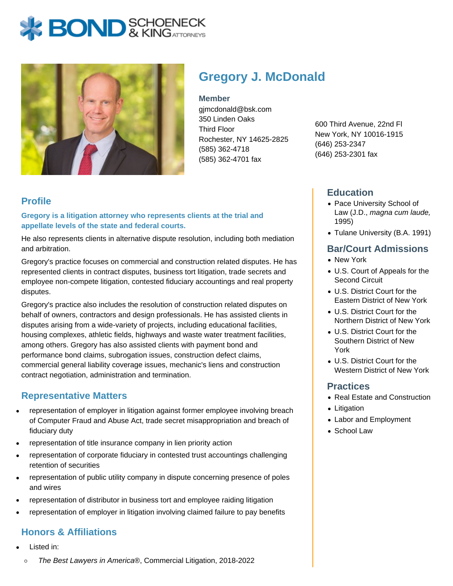# **BOND** & KINGATTORNECK



## **Gregory J. McDonald**

#### **Member**

gjmcdonald@bsk.com 350 Linden Oaks Third Floor Rochester, NY 14625-2825 (585) 362-4718 (585) 362-4701 fax

600 Third Avenue, 22nd Fl New York, NY 10016-1915 (646) 253-2347 (646) 253-2301 fax

### **Profile**

**Gregory is a litigation attorney who represents clients at the trial and appellate levels of the state and federal courts.**

He also represents clients in alternative dispute resolution, including both mediation and arbitration.

Gregory's practice focuses on commercial and construction related disputes. He has represented clients in contract disputes, business tort litigation, trade secrets and employee non-compete litigation, contested fiduciary accountings and real property disputes.

Gregory's practice also includes the resolution of construction related disputes on behalf of owners, contractors and design professionals. He has assisted clients in disputes arising from a wide-variety of projects, including educational facilities, housing complexes, athletic fields, highways and waste water treatment facilities, among others. Gregory has also assisted clients with payment bond and performance bond claims, subrogation issues, construction defect claims, commercial general liability coverage issues, mechanic's liens and construction contract negotiation, administration and termination.

#### **Representative Matters**

- representation of employer in litigation against former employee involving breach of Computer Fraud and Abuse Act, trade secret misappropriation and breach of fiduciary duty
- representation of title insurance company in lien priority action
- representation of corporate fiduciary in contested trust accountings challenging retention of securities
- representation of public utility company in dispute concerning presence of poles and wires
- representation of distributor in business tort and employee raiding litigation
- representation of employer in litigation involving claimed failure to pay benefits

#### **Honors & Affiliations**

- Listed in:
	- $\circ$ The Best Lawyers in America®, Commercial Litigation, 2018-2022

#### **Education**

- Pace University School of Law (J.D., magna cum laude, 1995)
- Tulane University (B.A. 1991)

#### **Bar/Court Admissions**

- New York
- U.S. Court of Appeals for the Second Circuit
- U.S. District Court for the Eastern District of New York
- U.S. District Court for the Northern District of New York
- U.S. District Court for the Southern District of New York
- U.S. District Court for the Western District of New York

#### **Practices**

- Real Estate and Construction
- Litigation
- Labor and Employment
- School Law